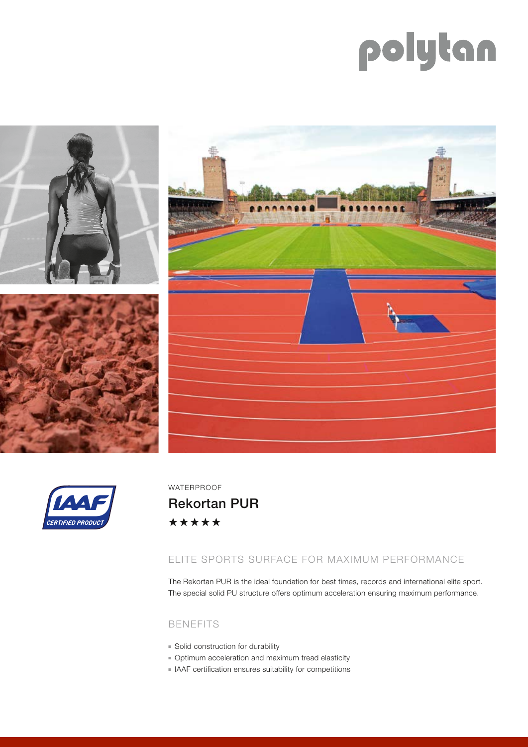# polytan







WATERPROOF

Rekortan PUR\*\*\*\*\*

## ELITE SPORTS SURFACE FOR MAXIMUM PERFORMANCE

The Rekortan PUR is the ideal foundation for best times, records and international elite sport. The special solid PU structure offers optimum acceleration ensuring maximum performance.

## BENEFITS

- **Bolid construction for durability**
- <sup>n</sup> Optimum acceleration and maximum tread elasticity
- <sup>n</sup> IAAF certification ensures suitability for competitions